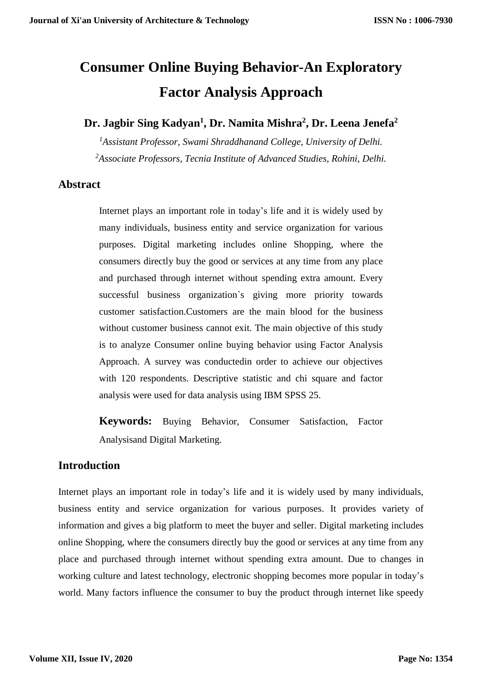# **Consumer Online Buying Behavior-An Exploratory Factor Analysis Approach**

**Dr. Jagbir Sing Kadyan<sup>1</sup> , Dr. Namita Mishra<sup>2</sup> , Dr. Leena Jenefa<sup>2</sup>**

*<sup>1</sup>Assistant Professor, Swami Shraddhanand College, University of Delhi. <sup>2</sup>Associate Professors, Tecnia Institute of Advanced Studies, Rohini*, *Delhi.*

#### **Abstract**

Internet plays an important role in today's life and it is widely used by many individuals, business entity and service organization for various purposes. Digital marketing includes online Shopping, where the consumers directly buy the good or services at any time from any place and purchased through internet without spending extra amount. Every successful business organization`s giving more priority towards customer satisfaction.Customers are the main blood for the business without customer business cannot exit. The main objective of this study is to analyze Consumer online buying behavior using Factor Analysis Approach. A survey was conductedin order to achieve our objectives with 120 respondents. Descriptive statistic and chi square and factor analysis were used for data analysis using IBM SPSS 25.

**Keywords:** Buying Behavior, Consumer Satisfaction, Factor Analysisand Digital Marketing.

#### **Introduction**

Internet plays an important role in today's life and it is widely used by many individuals, business entity and service organization for various purposes. It provides variety of information and gives a big platform to meet the buyer and seller. Digital marketing includes online Shopping, where the consumers directly buy the good or services at any time from any place and purchased through internet without spending extra amount. Due to changes in working culture and latest technology, electronic shopping becomes more popular in today's world. Many factors influence the consumer to buy the product through internet like speedy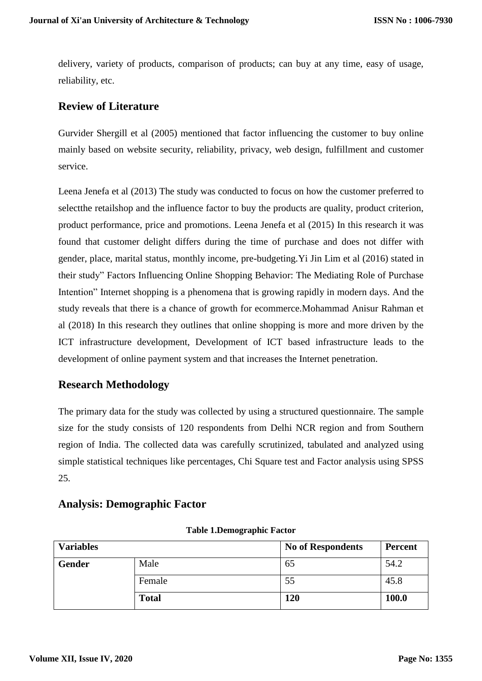delivery, variety of products, comparison of products; can buy at any time, easy of usage, reliability, etc.

#### **Review of Literature**

Gurvider Shergill et al (2005) mentioned that factor influencing the customer to buy online mainly based on website security, reliability, privacy, web design, fulfillment and customer service.

Leena Jenefa et al (2013) The study was conducted to focus on how the customer preferred to selectthe retailshop and the influence factor to buy the products are quality, product criterion, product performance, price and promotions. Leena Jenefa et al (2015) In this research it was found that customer delight differs during the time of purchase and does not differ with gender, place, marital status, monthly income, pre-budgeting.Yi Jin Lim et al (2016) stated in their study" Factors Influencing Online Shopping Behavior: The Mediating Role of Purchase Intention" Internet shopping is a phenomena that is growing rapidly in modern days. And the study reveals that there is a chance of growth for ecommerce.Mohammad Anisur Rahman et al (2018) In this research they outlines that online shopping is more and more driven by the ICT infrastructure development, Development of ICT based infrastructure leads to the development of online payment system and that increases the Internet penetration.

# **Research Methodology**

The primary data for the study was collected by using a structured questionnaire. The sample size for the study consists of 120 respondents from Delhi NCR region and from Southern region of India. The collected data was carefully scrutinized, tabulated and analyzed using simple statistical techniques like percentages, Chi Square test and Factor analysis using SPSS 25.

#### **Analysis: Demographic Factor**

| <b>Variables</b> |              | <b>No of Respondents</b> | <b>Percent</b> |
|------------------|--------------|--------------------------|----------------|
| <b>Gender</b>    | Male         | 65                       | 54.2           |
|                  | Female       | 55                       | 45.8           |
|                  | <b>Total</b> | 120                      | 100.0          |

**Table 1.Demographic Factor**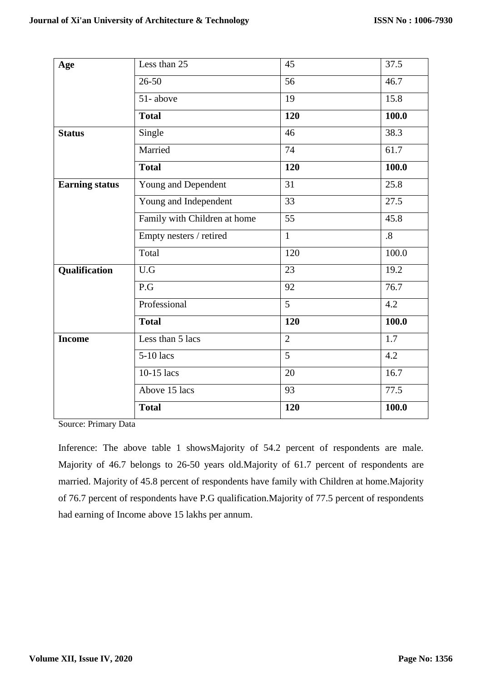| Age                   | Less than 25                 | 45             | 37.5      |
|-----------------------|------------------------------|----------------|-----------|
|                       | $26 - 50$                    | 56             | 46.7      |
|                       | 51-above                     | 19             | 15.8      |
|                       | <b>Total</b>                 | 120            | 100.0     |
| <b>Status</b>         | Single                       | 46             | 38.3      |
|                       | Married                      | 74             | 61.7      |
|                       | <b>Total</b>                 | 120            | 100.0     |
| <b>Earning status</b> | Young and Dependent          | 31             | 25.8      |
|                       | Young and Independent        | 33             | 27.5      |
|                       | Family with Children at home | 55             | 45.8      |
|                       | Empty nesters / retired      | $\mathbf{1}$   | $\cdot$ 8 |
|                       | Total                        | 120            | 100.0     |
| Qualification         | U.G                          | 23             | 19.2      |
|                       | P.G                          | 92             | 76.7      |
|                       | Professional                 | $\overline{5}$ | 4.2       |
|                       | <b>Total</b>                 | 120            | 100.0     |
| <b>Income</b>         | Less than 5 lacs             | $\overline{2}$ | 1.7       |
|                       | 5-10 lacs                    | 5              | 4.2       |
|                       | $10-15$ lacs                 | 20             | 16.7      |
|                       | Above 15 lacs                | 93             | 77.5      |
|                       | <b>Total</b>                 | 120            | 100.0     |

Source: Primary Data

Inference: The above table 1 showsMajority of 54.2 percent of respondents are male. Majority of 46.7 belongs to 26-50 years old.Majority of 61.7 percent of respondents are married. Majority of 45.8 percent of respondents have family with Children at home.Majority of 76.7 percent of respondents have P.G qualification.Majority of 77.5 percent of respondents had earning of Income above 15 lakhs per annum.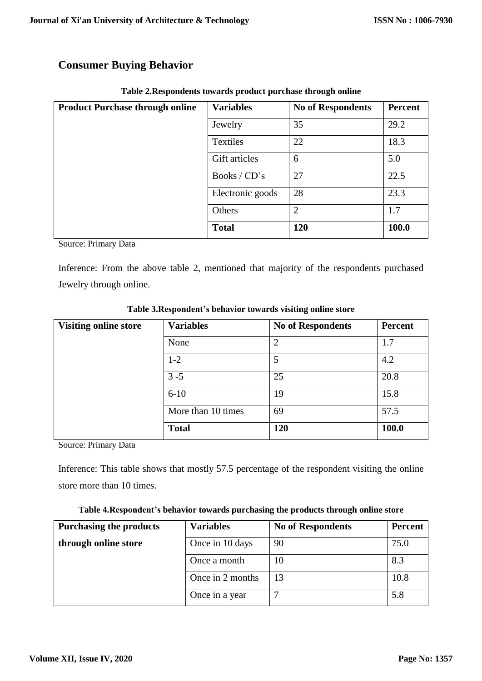# **Consumer Buying Behavior**

| <b>Product Purchase through online</b> | <b>Variables</b> | <b>No of Respondents</b> | <b>Percent</b> |
|----------------------------------------|------------------|--------------------------|----------------|
|                                        | Jewelry          | 35                       | 29.2           |
|                                        | Textiles         | 22                       | 18.3           |
|                                        | Gift articles    | 6                        | 5.0            |
|                                        | Books / CD's     | 27                       | 22.5           |
|                                        | Electronic goods | 28                       | 23.3           |
|                                        | Others           | $\overline{2}$           | 1.7            |
|                                        | <b>Total</b>     | <b>120</b>               | 100.0          |

|  |  | Table 2. Respondents towards product purchase through online |
|--|--|--------------------------------------------------------------|
|  |  |                                                              |

Source: Primary Data

Inference: From the above table 2, mentioned that majority of the respondents purchased Jewelry through online.

| <b>Visiting online store</b> | <b>Variables</b>   | <b>No of Respondents</b> | <b>Percent</b> |
|------------------------------|--------------------|--------------------------|----------------|
|                              | None               | $\overline{2}$           | 1.7            |
|                              | $1-2$              | 5                        | 4.2            |
|                              | $3 - 5$            | 25                       | 20.8           |
|                              | $6 - 10$           | 19                       | 15.8           |
|                              | More than 10 times | 69                       | 57.5           |
|                              | <b>Total</b>       | 120                      | 100.0          |

**Table 3.Respondent's behavior towards visiting online store**

Source: Primary Data

Inference: This table shows that mostly 57.5 percentage of the respondent visiting the online store more than 10 times.

| Table 4. Respondent's behavior towards purchasing the products through online store |  |  |
|-------------------------------------------------------------------------------------|--|--|
|                                                                                     |  |  |

| <b>Purchasing the products</b> | <b>Variables</b> | <b>No of Respondents</b> | <b>Percent</b> |
|--------------------------------|------------------|--------------------------|----------------|
| through online store           | Once in 10 days  | 90                       | 75.0           |
|                                | Once a month     | 10                       | 8.3            |
|                                | Once in 2 months | 13                       | 10.8           |
|                                | Once in a year   | ⇁                        | 5.8            |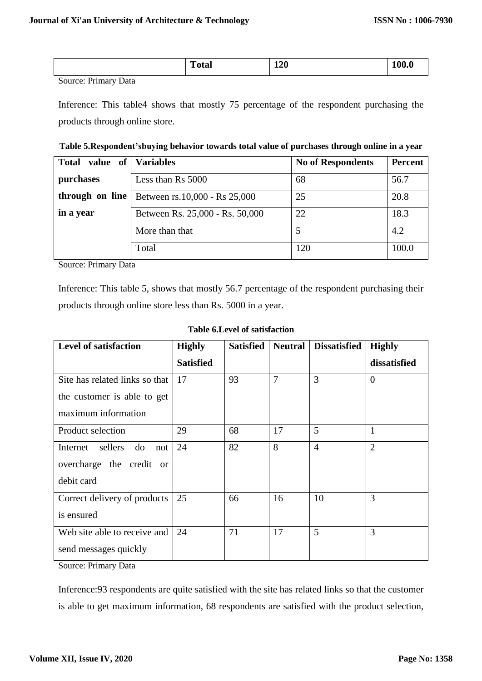|                    | <b>Total</b> | <b>120</b> | $\sim$ $\sim$ $\sim$ |
|--------------------|--------------|------------|----------------------|
| -<br>- -<br>$\sim$ |              |            |                      |

Source: Primary Data

Inference: This table4 shows that mostly 75 percentage of the respondent purchasing the products through online store.

| Table 5. Respondent'sbuying behavior towards total value of purchases through online in a year |  |  |  |  |
|------------------------------------------------------------------------------------------------|--|--|--|--|
|                                                                                                |  |  |  |  |

| value of<br><b>Total</b> | Variables                       | <b>No of Respondents</b> | <b>Percent</b> |
|--------------------------|---------------------------------|--------------------------|----------------|
| purchases                | Less than Rs 5000               | 68                       | 56.7           |
| through on line          | Between rs.10,000 - Rs 25,000   | 25                       | 20.8           |
| in a year                | Between Rs. 25,000 - Rs. 50,000 | 22                       | 18.3           |
|                          | More than that                  |                          | 4.2            |
|                          | Total                           | 120                      | 100.0          |

Source: Primary Data

Inference: This table 5, shows that mostly 56.7 percentage of the respondent purchasing their products through online store less than Rs. 5000 in a year.

| <b>Level of satisfaction</b>       | <b>Highly</b>    | <b>Satisfied</b> | <b>Neutral</b> | <b>Dissatisfied</b> | <b>Highly</b>  |
|------------------------------------|------------------|------------------|----------------|---------------------|----------------|
|                                    | <b>Satisfied</b> |                  |                |                     | dissatisfied   |
| Site has related links so that     | 17               | 93               | 7              | 3                   | $\overline{0}$ |
| the customer is able to get        |                  |                  |                |                     |                |
| maximum information                |                  |                  |                |                     |                |
| Product selection                  | 29               | 68               | 17             | 5                   | $\mathbf{1}$   |
| Internet<br>sellers<br>do<br>not   | 24               | 82               | 8              | $\overline{4}$      | $\overline{2}$ |
| overcharge the credit<br><b>or</b> |                  |                  |                |                     |                |
| debit card                         |                  |                  |                |                     |                |
| Correct delivery of products       | 25               | 66               | 16             | 10                  | 3              |
| is ensured                         |                  |                  |                |                     |                |
| Web site able to receive and       | 24               | 71               | 17             | 5                   | 3              |
| send messages quickly              |                  |                  |                |                     |                |

#### **Table 6.Level of satisfaction**

Source: Primary Data

Inference:93 respondents are quite satisfied with the site has related links so that the customer is able to get maximum information, 68 respondents are satisfied with the product selection,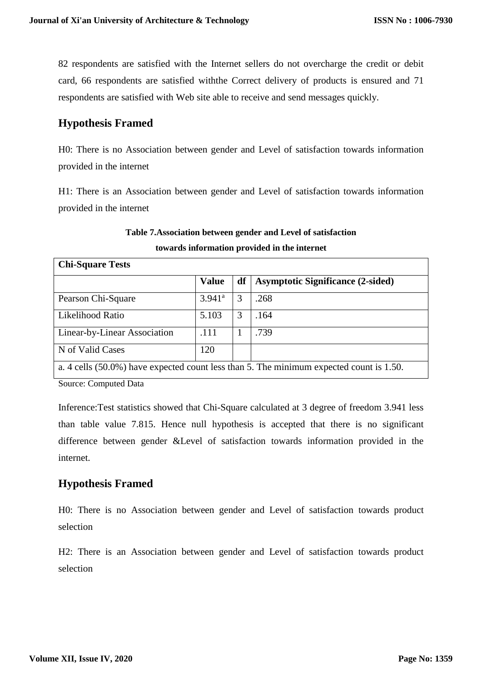82 respondents are satisfied with the Internet sellers do not overcharge the credit or debit card, 66 respondents are satisfied withthe Correct delivery of products is ensured and 71 respondents are satisfied with Web site able to receive and send messages quickly.

# **Hypothesis Framed**

H0: There is no Association between gender and Level of satisfaction towards information provided in the internet

H1: There is an Association between gender and Level of satisfaction towards information provided in the internet

# **Table 7.Association between gender and Level of satisfaction towards information provided in the internet**

| <b>Chi-Square Tests</b>                                                                 |                 |    |                                          |  |  |
|-----------------------------------------------------------------------------------------|-----------------|----|------------------------------------------|--|--|
|                                                                                         | <b>Value</b>    | df | <b>Asymptotic Significance (2-sided)</b> |  |  |
| Pearson Chi-Square                                                                      | $3.941^{\circ}$ | 3  | .268                                     |  |  |
| Likelihood Ratio                                                                        | 5.103           | 3  | .164                                     |  |  |
| <b>Linear-by-Linear Association</b>                                                     | .111            |    | .739                                     |  |  |
| N of Valid Cases                                                                        | 120             |    |                                          |  |  |
| a. 4 cells (50.0%) have expected count less than 5. The minimum expected count is 1.50. |                 |    |                                          |  |  |

Source: Computed Data

Inference:Test statistics showed that Chi-Square calculated at 3 degree of freedom 3.941 less than table value 7.815. Hence null hypothesis is accepted that there is no significant difference between gender &Level of satisfaction towards information provided in the internet.

# **Hypothesis Framed**

H0: There is no Association between gender and Level of satisfaction towards product selection

H2: There is an Association between gender and Level of satisfaction towards product selection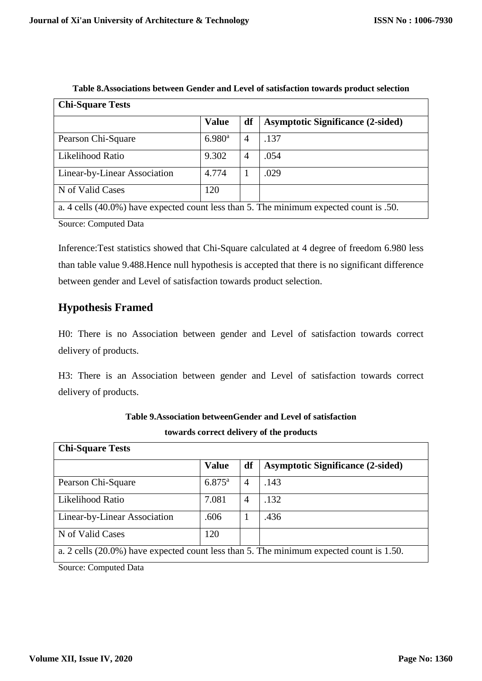| <b>Chi-Square Tests</b>      |                      |    |                                                                                        |  |  |
|------------------------------|----------------------|----|----------------------------------------------------------------------------------------|--|--|
|                              | <b>Value</b>         | df | <b>Asymptotic Significance (2-sided)</b>                                               |  |  |
| Pearson Chi-Square           | $6.980$ <sup>a</sup> | 4  | .137                                                                                   |  |  |
| Likelihood Ratio             | 9.302                | 4  | .054                                                                                   |  |  |
| Linear-by-Linear Association | 4.774                |    | .029                                                                                   |  |  |
| N of Valid Cases             | 120                  |    |                                                                                        |  |  |
|                              |                      |    | a. 4 cells (40.0%) have expected count less than 5. The minimum expected count is .50. |  |  |

Source: Computed Data

Inference:Test statistics showed that Chi-Square calculated at 4 degree of freedom 6.980 less than table value 9.488.Hence null hypothesis is accepted that there is no significant difference between gender and Level of satisfaction towards product selection.

# **Hypothesis Framed**

H0: There is no Association between gender and Level of satisfaction towards correct delivery of products.

H3: There is an Association between gender and Level of satisfaction towards correct delivery of products.

| <b>Chi-Square Tests</b>      |                 |                |                                                                                         |  |  |  |
|------------------------------|-----------------|----------------|-----------------------------------------------------------------------------------------|--|--|--|
|                              | <b>Value</b>    | df             | <b>Asymptotic Significance (2-sided)</b>                                                |  |  |  |
| Pearson Chi-Square           | $6.875^{\rm a}$ | $\overline{4}$ | .143                                                                                    |  |  |  |
| Likelihood Ratio             | 7.081           | 4              | .132                                                                                    |  |  |  |
| Linear-by-Linear Association | .606            |                | .436                                                                                    |  |  |  |
| N of Valid Cases             | 120             |                |                                                                                         |  |  |  |
|                              |                 |                | a. 2 cells (20.0%) have expected count less than 5. The minimum expected count is 1.50. |  |  |  |

**Table 9.Association betweenGender and Level of satisfaction towards correct delivery of the products**

Source: Computed Data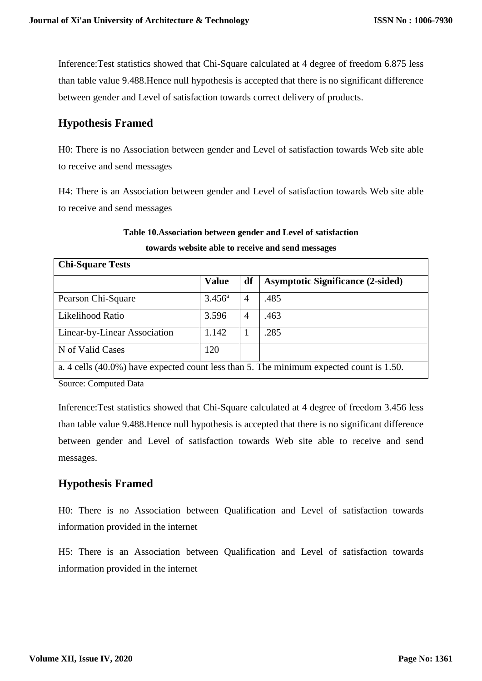Inference:Test statistics showed that Chi-Square calculated at 4 degree of freedom 6.875 less than table value 9.488.Hence null hypothesis is accepted that there is no significant difference between gender and Level of satisfaction towards correct delivery of products.

# **Hypothesis Framed**

H0: There is no Association between gender and Level of satisfaction towards Web site able to receive and send messages

H4: There is an Association between gender and Level of satisfaction towards Web site able to receive and send messages

#### **Table 10.Association between gender and Level of satisfaction towards website able to receive and send messages**

| <b>Chi-Square Tests</b>                                                                 |                 |    |                                          |  |  |  |
|-----------------------------------------------------------------------------------------|-----------------|----|------------------------------------------|--|--|--|
|                                                                                         | <b>Value</b>    | df | <b>Asymptotic Significance (2-sided)</b> |  |  |  |
| Pearson Chi-Square                                                                      | $3.456^{\rm a}$ | 4  | .485                                     |  |  |  |
| Likelihood Ratio                                                                        | 3.596           | 4  | .463                                     |  |  |  |
| Linear-by-Linear Association                                                            | 1.142           | 1  | .285                                     |  |  |  |
| N of Valid Cases                                                                        | 120             |    |                                          |  |  |  |
| a. 4 cells (40.0%) have expected count less than 5. The minimum expected count is 1.50. |                 |    |                                          |  |  |  |

Source: Computed Data

Inference:Test statistics showed that Chi-Square calculated at 4 degree of freedom 3.456 less than table value 9.488.Hence null hypothesis is accepted that there is no significant difference between gender and Level of satisfaction towards Web site able to receive and send messages.

# **Hypothesis Framed**

H0: There is no Association between Qualification and Level of satisfaction towards information provided in the internet

H5: There is an Association between Qualification and Level of satisfaction towards information provided in the internet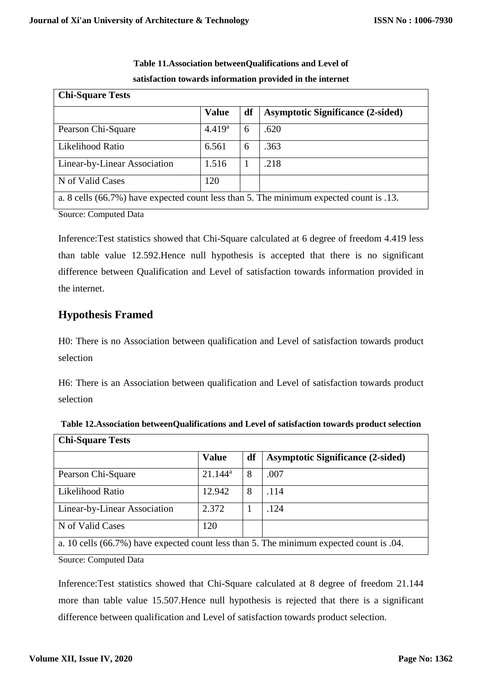| <b>Chi-Square Tests</b>                                                                |                    |    |                                          |  |  |
|----------------------------------------------------------------------------------------|--------------------|----|------------------------------------------|--|--|
|                                                                                        | <b>Value</b>       | df | <b>Asymptotic Significance (2-sided)</b> |  |  |
| Pearson Chi-Square                                                                     | 4.419 <sup>a</sup> | 6  | .620                                     |  |  |
| Likelihood Ratio                                                                       | 6.561              | 6  | .363                                     |  |  |
| Linear-by-Linear Association                                                           | 1.516              | 1  | .218                                     |  |  |
| N of Valid Cases                                                                       | 120                |    |                                          |  |  |
| a. 8 cells (66.7%) have expected count less than 5. The minimum expected count is .13. |                    |    |                                          |  |  |

**Table 11.Association betweenQualifications and Level of satisfaction towards information provided in the internet**

Source: Computed Data

Inference:Test statistics showed that Chi-Square calculated at 6 degree of freedom 4.419 less than table value 12.592.Hence null hypothesis is accepted that there is no significant difference between Qualification and Level of satisfaction towards information provided in the internet.

#### **Hypothesis Framed**

H0: There is no Association between qualification and Level of satisfaction towards product selection

H6: There is an Association between qualification and Level of satisfaction towards product selection

| UM-DYUALU LUSUS              |              |    |                                                                                         |  |  |
|------------------------------|--------------|----|-----------------------------------------------------------------------------------------|--|--|
|                              | <b>Value</b> | df | <b>Asymptotic Significance (2-sided)</b>                                                |  |  |
| Pearson Chi-Square           | $21.144^a$   | 8  | .007                                                                                    |  |  |
| Likelihood Ratio             | 12.942       | 8  | .114                                                                                    |  |  |
| Linear-by-Linear Association | 2.372        |    | .124                                                                                    |  |  |
| N of Valid Cases             | 120          |    |                                                                                         |  |  |
|                              |              |    | a. 10 cells (66.7%) have expected count less than 5. The minimum expected count is .04. |  |  |

**Table 12.Association betweenQualifications and Level of satisfaction towards product selection Chi-Square Tests**

Source: Computed Data

Inference:Test statistics showed that Chi-Square calculated at 8 degree of freedom 21.144 more than table value 15.507.Hence null hypothesis is rejected that there is a significant difference between qualification and Level of satisfaction towards product selection.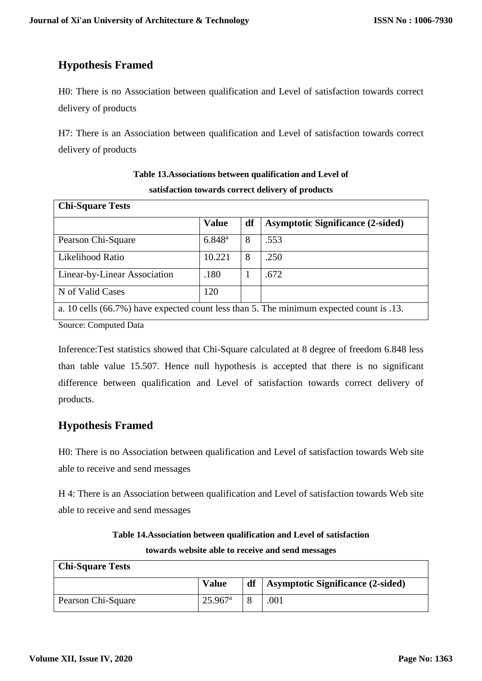# **Hypothesis Framed**

H0: There is no Association between qualification and Level of satisfaction towards correct delivery of products

H7: There is an Association between qualification and Level of satisfaction towards correct delivery of products

| <b>Chi-Square Tests</b>      |              |    |                                                                                         |  |  |  |
|------------------------------|--------------|----|-----------------------------------------------------------------------------------------|--|--|--|
|                              | <b>Value</b> | df | <b>Asymptotic Significance (2-sided)</b>                                                |  |  |  |
| Pearson Chi-Square           | $6.848^{a}$  | 8  | .553                                                                                    |  |  |  |
| Likelihood Ratio             | 10.221       | 8  | .250                                                                                    |  |  |  |
| Linear-by-Linear Association | .180         |    | .672                                                                                    |  |  |  |
| N of Valid Cases             | 120          |    |                                                                                         |  |  |  |
|                              |              |    | a. 10 cells (66.7%) have expected count less than 5. The minimum expected count is .13. |  |  |  |

**Table 13.Associations between qualification and Level of satisfaction towards correct delivery of products**

Source: Computed Data

Inference:Test statistics showed that Chi-Square calculated at 8 degree of freedom 6.848 less than table value 15.507. Hence null hypothesis is accepted that there is no significant difference between qualification and Level of satisfaction towards correct delivery of products.

# **Hypothesis Framed**

H0: There is no Association between qualification and Level of satisfaction towards Web site able to receive and send messages

H 4: There is an Association between qualification and Level of satisfaction towards Web site able to receive and send messages

| Table 14. Association between qualification and Level of satisfaction |  |
|-----------------------------------------------------------------------|--|
| towards website able to receive and send messages                     |  |

| <b>Chi-Square Tests</b> |                  |    |                                   |
|-------------------------|------------------|----|-----------------------------------|
|                         | <b>Value</b>     | df | Asymptotic Significance (2-sided) |
| Pearson Chi-Square      | $25.967^{\rm a}$ |    | .001                              |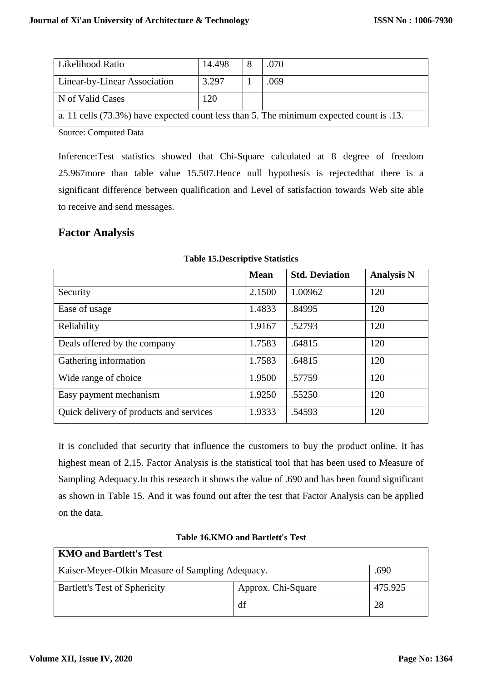| Likelihood Ratio             | 14.498 | .070                                                                                    |
|------------------------------|--------|-----------------------------------------------------------------------------------------|
| Linear-by-Linear Association | 3.297  | .069                                                                                    |
| N of Valid Cases             | 120    |                                                                                         |
|                              |        | a. 11 cells (73.3%) have expected count less than 5. The minimum expected count is .13. |

Source: Computed Data

Inference:Test statistics showed that Chi-Square calculated at 8 degree of freedom 25.967more than table value 15.507.Hence null hypothesis is rejectedthat there is a significant difference between qualification and Level of satisfaction towards Web site able to receive and send messages.

#### **Factor Analysis**

|                                         | <b>Mean</b> | <b>Std. Deviation</b> | <b>Analysis N</b> |
|-----------------------------------------|-------------|-----------------------|-------------------|
| Security                                | 2.1500      | 1.00962               | 120               |
| Ease of usage                           | 1.4833      | .84995                | 120               |
| Reliability                             | 1.9167      | .52793                | 120               |
| Deals offered by the company            | 1.7583      | .64815                | 120               |
| Gathering information                   | 1.7583      | .64815                | 120               |
| Wide range of choice                    | 1.9500      | .57759                | 120               |
| Easy payment mechanism                  | 1.9250      | .55250                | 120               |
| Quick delivery of products and services | 1.9333      | .54593                | 120               |

**Table 15.Descriptive Statistics**

It is concluded that security that influence the customers to buy the product online. It has highest mean of 2.15. Factor Analysis is the statistical tool that has been used to Measure of Sampling Adequacy.In this research it shows the value of .690 and has been found significant as shown in Table 15. And it was found out after the test that Factor Analysis can be applied on the data.

|  |  |  | <b>Table 16.KMO and Bartlett's Test</b> |  |
|--|--|--|-----------------------------------------|--|
|--|--|--|-----------------------------------------|--|

| <b>KMO and Bartlett's Test</b>                           |                    |         |  |  |  |  |
|----------------------------------------------------------|--------------------|---------|--|--|--|--|
| Kaiser-Meyer-Olkin Measure of Sampling Adequacy.<br>.690 |                    |         |  |  |  |  |
| Bartlett's Test of Sphericity                            | Approx. Chi-Square | 475.925 |  |  |  |  |
|                                                          | df                 | 28      |  |  |  |  |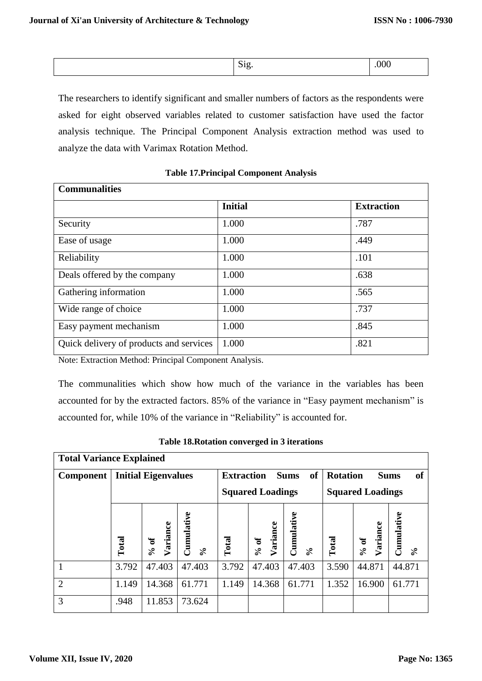The researchers to identify significant and smaller numbers of factors as the respondents were asked for eight observed variables related to customer satisfaction have used the factor analysis technique. The Principal Component Analysis extraction method was used to analyze the data with Varimax Rotation Method.

| <b>Communalities</b>                    |                |                   |  |  |  |  |
|-----------------------------------------|----------------|-------------------|--|--|--|--|
|                                         | <b>Initial</b> | <b>Extraction</b> |  |  |  |  |
| Security                                | 1.000          | .787              |  |  |  |  |
| Ease of usage                           | 1.000          | .449              |  |  |  |  |
| Reliability                             | 1.000          | .101              |  |  |  |  |
| Deals offered by the company            | 1.000          | .638              |  |  |  |  |
| Gathering information                   | 1.000          | .565              |  |  |  |  |
| Wide range of choice                    | 1.000          | .737              |  |  |  |  |
| Easy payment mechanism                  | 1.000          | .845              |  |  |  |  |
| Quick delivery of products and services | 1.000          | .821              |  |  |  |  |

#### **Table 17.Principal Component Analysis**

Note: Extraction Method: Principal Component Analysis.

The communalities which show how much of the variance in the variables has been accounted for by the extracted factors. 85% of the variance in "Easy payment mechanism" is accounted for, while 10% of the variance in "Reliability" is accounted for.

| <b>Total Variance Explained</b> |                            |                           |                           |                         |                                                   |                        |                                             |                           |                                       |
|---------------------------------|----------------------------|---------------------------|---------------------------|-------------------------|---------------------------------------------------|------------------------|---------------------------------------------|---------------------------|---------------------------------------|
| <b>Component</b>                | <b>Initial Eigenvalues</b> |                           |                           |                         | <sub>of</sub><br><b>Extraction</b><br><b>Sums</b> |                        | <b>Rotation</b><br><b>of</b><br><b>Sums</b> |                           |                                       |
|                                 |                            |                           |                           | <b>Squared Loadings</b> |                                                   |                        | <b>Squared Loadings</b>                     |                           |                                       |
|                                 | Total                      | Variance<br>$\frac{6}{9}$ | $C$ umulative<br>$\aleph$ | Total                   | Variance<br>% of                                  | Cumulative<br>$\aleph$ | Total                                       | Variance<br>$\frac{6}{9}$ | Cumulative<br>$\mathcal{S}_{\bullet}$ |
| 1                               | 3.792                      | 47.403                    | 47.403                    | 3.792                   | 47.403                                            | 47.403                 | 3.590                                       | 44.871                    | 44.871                                |
| $\overline{2}$                  | 1.149                      | 14.368                    | 61.771                    | 1.149                   | 14.368                                            | 61.771                 | 1.352                                       | 16.900                    | 61.771                                |
| 3                               | .948                       | 11.853                    | 73.624                    |                         |                                                   |                        |                                             |                           |                                       |

|  |  |  | Table 18. Rotation converged in 3 iterations |  |  |  |
|--|--|--|----------------------------------------------|--|--|--|
|--|--|--|----------------------------------------------|--|--|--|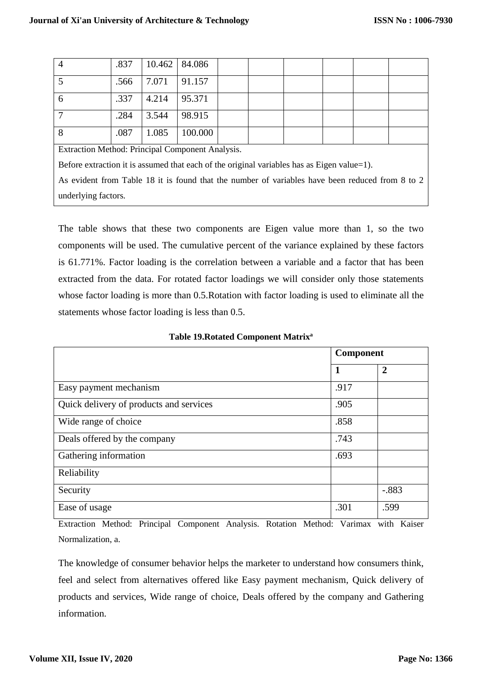| 4                                               | .837 | 10.462 84.086 |         |  |  |  |  |
|-------------------------------------------------|------|---------------|---------|--|--|--|--|
|                                                 | .566 | 7.071         | 91.157  |  |  |  |  |
| 6                                               | .337 | 4.214         | 95.371  |  |  |  |  |
|                                                 | .284 | 3.544         | 98.915  |  |  |  |  |
| 8                                               | .087 | 1.085         | 100.000 |  |  |  |  |
| Extraction Mothod: Dripoinal Component Apolygic |      |               |         |  |  |  |  |

Extraction Method: Principal Component Analysis.

Before extraction it is assumed that each of the original variables has as Eigen value=1).

As evident from Table 18 it is found that the number of variables have been reduced from 8 to 2 underlying factors.

The table shows that these two components are Eigen value more than 1, so the two components will be used. The cumulative percent of the variance explained by these factors is 61.771%. Factor loading is the correlation between a variable and a factor that has been extracted from the data. For rotated factor loadings we will consider only those statements whose factor loading is more than 0.5.Rotation with factor loading is used to eliminate all the statements whose factor loading is less than 0.5.

|                                         | Component    |                |  |
|-----------------------------------------|--------------|----------------|--|
|                                         | $\mathbf{1}$ | $\overline{2}$ |  |
| Easy payment mechanism                  | .917         |                |  |
| Quick delivery of products and services | .905         |                |  |
| Wide range of choice                    | .858         |                |  |
| Deals offered by the company            | .743         |                |  |
| Gathering information                   | .693         |                |  |
| Reliability                             |              |                |  |
| Security                                |              | $-.883$        |  |
| Ease of usage                           | .301         | .599           |  |

**Table 19.Rotated Component Matrix<sup>a</sup>**

Extraction Method: Principal Component Analysis. Rotation Method: Varimax with Kaiser Normalization, a.

The knowledge of consumer behavior helps the marketer to understand how consumers think, feel and select from alternatives offered like Easy payment mechanism, Quick delivery of products and services, Wide range of choice, Deals offered by the company and Gathering information.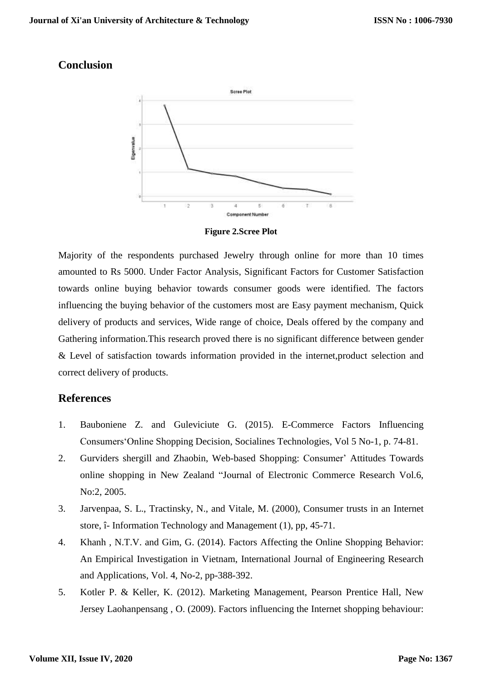#### **Conclusion**



**Figure 2.Scree Plot**

Majority of the respondents purchased Jewelry through online for more than 10 times amounted to Rs 5000. Under Factor Analysis, Significant Factors for Customer Satisfaction towards online buying behavior towards consumer goods were identified. The factors influencing the buying behavior of the customers most are Easy payment mechanism, Quick delivery of products and services, Wide range of choice, Deals offered by the company and Gathering information.This research proved there is no significant difference between gender & Level of satisfaction towards information provided in the internet,product selection and correct delivery of products.

#### **References**

- 1. Bauboniene Z. and Guleviciute G. (2015). E-Commerce Factors Influencing Consumers'Online Shopping Decision, Socialines Technologies, Vol 5 No-1, p. 74-81.
- 2. Gurviders shergill and Zhaobin, Web-based Shopping: Consumer' Attitudes Towards online shopping in New Zealand "Journal of Electronic Commerce Research Vol.6, No:2, 2005.
- 3. Jarvenpaa, S. L., Tractinsky, N., and Vitale, M. (2000), Consumer trusts in an Internet store, î- Information Technology and Management (1), pp, 45-71.
- 4. Khanh , N.T.V. and Gim, G. (2014). Factors Affecting the Online Shopping Behavior: An Empirical Investigation in Vietnam, International Journal of Engineering Research and Applications, Vol. 4, No-2, pp-388-392.
- 5. Kotler P. & Keller, K. (2012). Marketing Management, Pearson Prentice Hall, New Jersey Laohanpensang , O. (2009). Factors influencing the Internet shopping behaviour: